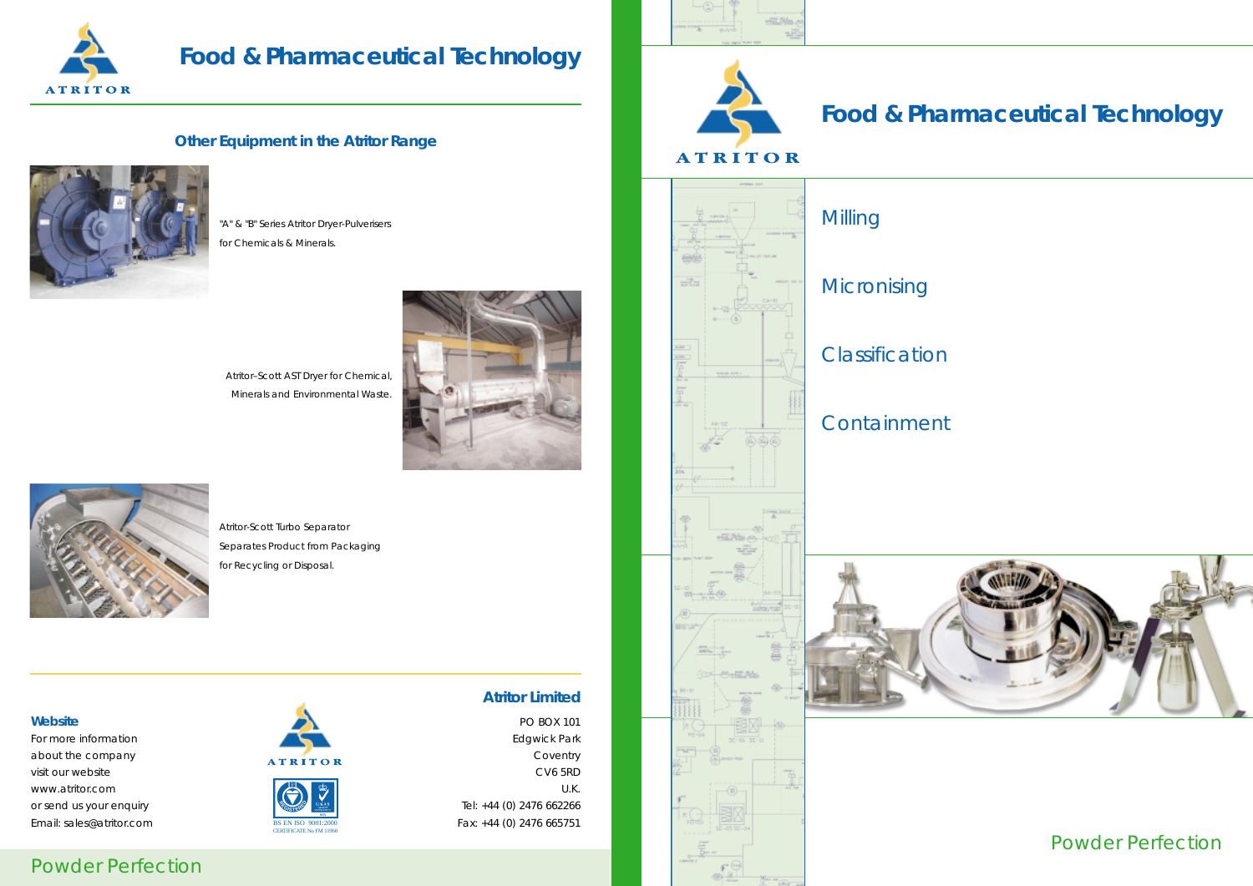### Powder Perfection



# **Food & Pharmaceutical Technology**

### **Other Equipment in the Atritor Range**



### "A" & "B" Series Atritor Dryer-Pulverisers

for Chemicals & Minerals.

For more informationabout the company and the coventry  $A T R I T O R$  Coventry visit our websitewww.atritor.comor send us your enquiry and the contract of the sense of the sense of the Tel: +44 (0) 2476 662266 Email: sales@atritor.com BSEN ISO 9001:2000 Fax: +44 (0) 2476 665751







Atritor-Scott Turbo Separator Separates Product from Packaging for Recycling or Disposal.

### **Atritor Limited**

### **Website**

 PO BOX 101 Edgwick Park e discoveries to the control of the control of the control of the control of the control of the control of the control of the control of the control of the control of the control of the control of the control of the contro CV6 5RD U.K.



# **Food & Pharmaceutical Technology**



Powder Perfectior



CERTIFICATE No FM 11960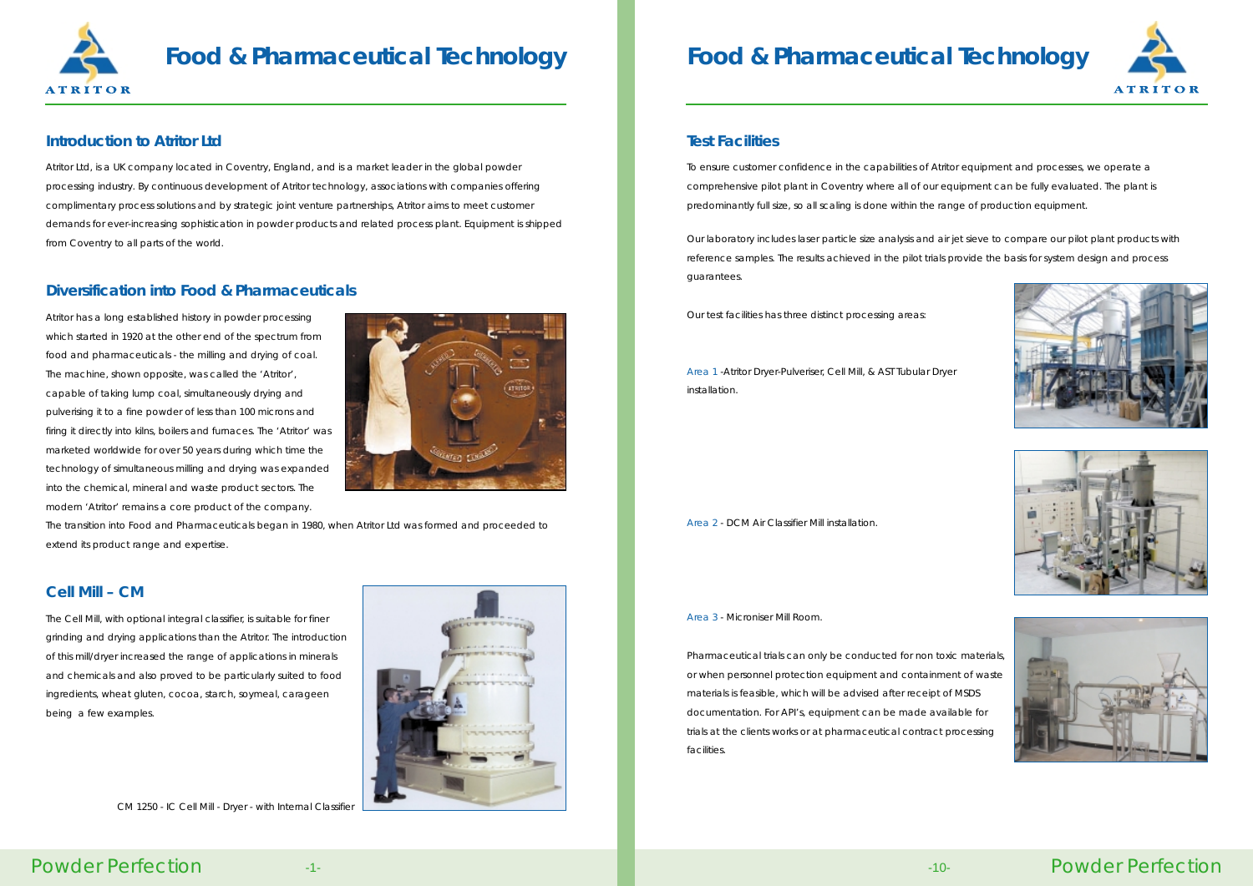### **Food & Pharmaceutical Technology**

Powder Perfection

#### **Test Facilities**

To ensure customer confidence in the capabilities of Atritor equipment and processes, we operate a comprehensive pilot plant in Coventry where all of our equipment can be fully evaluated. The plant is predominantly full size, so all scaling is done within the range of production equipment.

Our laboratory includes laser particle size analysis and air jet sieve to compare our pilot plant products with reference samples. The results achieved in the pilot trials provide the basis for system design and process guarantees.

Our test facilities has three distinct processing areas:

Area 1 -Atritor Dryer-Pulveriser, Cell Mill, & AST Tubular Dryer installation.

Area 2 - DCM Air Classifier Mill installation.

Area 3 - Microniser Mill Room.

Pharmaceutical trials can only be conducted for non toxic materials, or when personnel protection equipment and containment of waste materials is feasible, which will be advised after receipt of MSDS documentation. For API's, equipment can be made available for trials at the clients works or at pharmaceutical contract processing facilities.



# **Food & Pharmaceutical Technology**

#### **Introduction to Atritor Ltd**

Atritor Ltd, is a UK company located in Coventry, England, and is a market leader in the global powder processing industry. By continuous development of Atritor technology, associations with companies offering complimentary process solutions and by strategic joint venture partnerships, Atritor aims to meet customer demands for ever-increasing sophistication in powder products and related process plant. Equipment is shipped from Coventry to all parts of the world.

### **Diversification into Food & Pharmaceuticals**

Atritor has a long established history in powder processing which started in 1920 at the other end of the spectrum from food and pharmaceuticals - the milling and drying of coal. The machine, shown opposite, was called the 'Atritor', capable of taking lump coal, simultaneously drying and pulverising it to a fine powder of less than 100 microns and firing it directly into kilns, boilers and furnaces. The 'Atritor' was marketed worldwide for over 50 years during which time the technology of simultaneous milling and drying was expanded into the chemical, mineral and waste product sectors. The modern 'Atritor' remains a core product of the company.



The transition into Food and Pharmaceuticals began in 1980, when Atritor Ltd was formed and proceeded to extend its product range and expertise.

#### **Cell Mill – CM**

The Cell Mill, with optional integral classifier, is suitable for finer grinding and drying applications than the Atritor. The introduction of this mill/dryer increased the range of applications in minerals and chemicals and also proved to be particularly suited to food ingredients, wheat gluten, cocoa, starch, soymeal, carageen being a few examples.



CM 1250 - IC Cell Mill - Dryer - with Internal Classifier









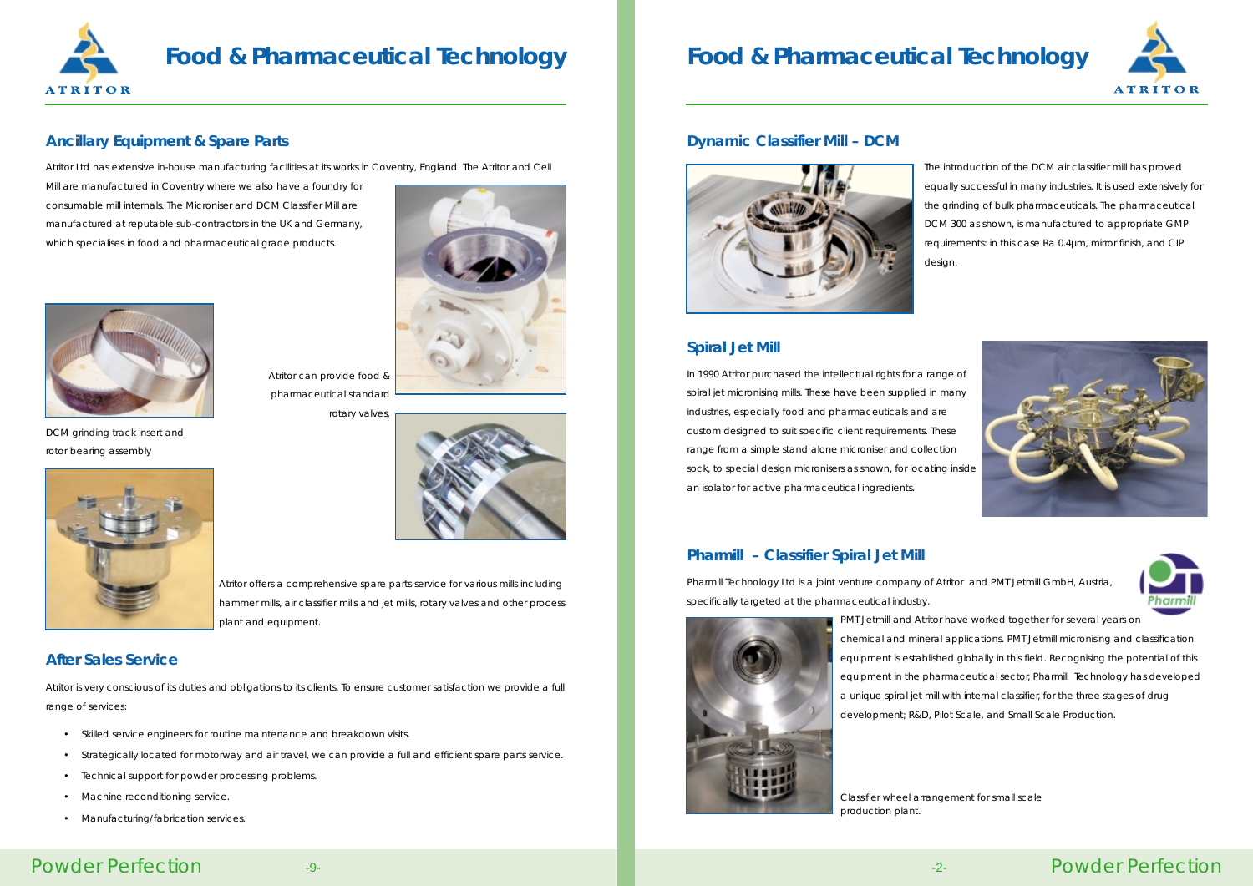

# **Food & Pharmaceutical Technology Food & Pharmaceutical Technology**

### Powder Perfection

#### **Dynamic Classifier Mill – DCM**



The introduction of the DCM air classifier mill has proved equally successful in many industries. It is used extensively for the grinding of bulk pharmaceuticals. The pharmaceutical DCM 300 as shown, is manufactured to appropriate GMP requirements: in this case Ra 0.4µm, mirror finish, and CIP







design.

### **Spiral Jet Mill**

In 1990 Atritor purchased the intellectual rights for a range of spiral jet micronising mills. These have been supplied in many industries, especially food and pharmaceuticals and are custom designed to suit specific client requirements. These range from a simple stand alone microniser and collection sock, to special design micronisers as shown, for locating inside an isolator for active pharmaceutical ingredients.

#### **Pharmill – Classifier Spiral Jet Mill**

Pharmill Technology Ltd is a joint venture company of Atritor and PMT Jetmill GmbH, Austria, specifically targeted at the pharmaceutical industry.



PMT Jetmill and Atritor have worked together for several years on chemical and mineral applications. PMT Jetmill micronising and classification equipment is established globally in this field. Recognising the potential of this equipment in the pharmaceutical sector, Pharmill Technology has developed a unique spiral jet mill with internal classifier, for the three stages of drug development; R&D, Pilot Scale, and Small Scale Production.

### **Ancillary Equipment & Spare Parts**

Atritor Ltd has extensive in-house manufacturing facilities at its works in Coventry, England. The Atritor and Cell

Mill are manufactured in Coventry where we also have a foundry for consumable mill internals. The Microniser and DCM Classifier Mill are manufactured at reputable sub-contractors in the UK and Germany, which specialises in food and pharmaceutical grade products.



pharmaceutical standard

rotary valves.





DCM grinding track insert and rotor bearing assembly

Atritor offers a comprehensive spare parts service for various mills including hammer mills, air classifier mills and jet mills, rotary valves and other process plant and equipment.

#### **After Sales Service**

Atritor is very conscious of its duties and obligations to its clients. To ensure customer satisfaction we provide a full range of services:

- •Skilled service engineers for routine maintenance and breakdown visits.
- Strategically located for motorway and air travel, we can provide a full and efficient spare parts service.
- •Technical support for powder processing problems.
- Machine reconditioning service.
- Manufacturing/fabrication services.

Classifier wheel arrangement for small scale

production plant.



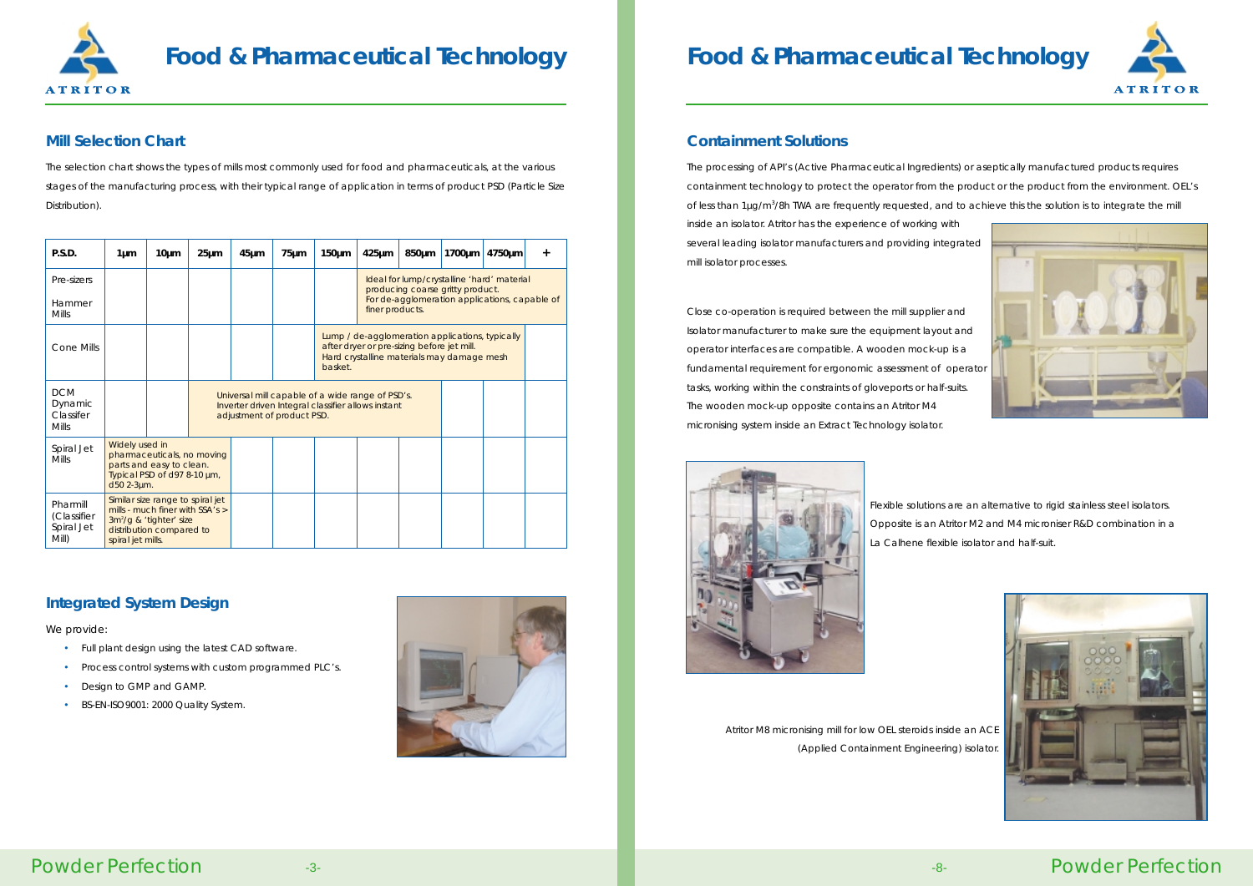# **Food & Pharmaceutical Technology**

Powder Perfection

### **Containment Solutions**

The processing of API's (Active Pharmaceutical Ingredients) or aseptically manufactured products requires containment technology to protect the operator from the product or the product from the environment. OEL's of less than 1µg/m<sup>3</sup>/8h TWA are frequently requested, and to achieve this the solution is to integrate the mill inside an isolator. Atritor has the experience of working with several leading isolator manufacturers and providing integrated mill isolator processes.

Close co-operation is required between the mill supplier and Isolator manufacturer to make sure the equipment layout and operator interfaces are compatible. A wooden mock-up is a fundamental requirement for ergonomic assessment of operator tasks, working within the constraints of gloveports or half-suits. The wooden mock-up opposite contains an Atritor M4 micronising system inside an Extract Technology isolator.



Flexible solutions are an alternative to rigid stainless steel isolators. Opposite is an Atritor M2 and M4 microniser R&D combination in a La Calhene flexible isolator and half-suit.



Atritor M8 micronising mill for low OEL steroids inside an ACE (Applied Containment Engineering) isolator.



# **Food & Pharmaceutical Technology**

### **Mill Selection Chart**

The selection chart shows the types of mills most commonly used for food and pharmaceuticals, at the various stages of the manufacturing process, with their typical range of application in terms of product PSD (Particle Size Distribution).

### **Integrated System Design**

*We provide:*

- Full plant design using the latest CAD software.
- Process control systems with custom programmed PLC's.
- •Design to GMP and GAMP.
- BS-EN-ISO9001: 2000 Quality System.



| P.S.D.                                             | $1 \mu m$                                                                                                                                             | $10 \mu m$ | $25 \mu m$                                                                                                                           | $45 \mu m$ | $75 \mu m$ | $150 \mu m$ | $425 \mu m$                                                                                                                                        | 850µm | 1700µm | 4750µm | $\ddot{}$ |  |  |
|----------------------------------------------------|-------------------------------------------------------------------------------------------------------------------------------------------------------|------------|--------------------------------------------------------------------------------------------------------------------------------------|------------|------------|-------------|----------------------------------------------------------------------------------------------------------------------------------------------------|-------|--------|--------|-----------|--|--|
| Pre-sizers<br>Hammer                               |                                                                                                                                                       |            |                                                                                                                                      |            |            |             | Ideal for lump/crystalline 'hard' material<br>producing coarse gritty product.<br>For de-agglomeration applications, capable of<br>finer products. |       |        |        |           |  |  |
| <b>Mills</b>                                       |                                                                                                                                                       |            |                                                                                                                                      |            |            |             |                                                                                                                                                    |       |        |        |           |  |  |
| Cone Mills                                         |                                                                                                                                                       |            |                                                                                                                                      |            |            | basket.     | Lump / de-agglomeration applications, typically<br>after dryer or pre-sizing before jet mill.<br>Hard crystalline materials may damage mesh        |       |        |        |           |  |  |
| <b>DCM</b><br>Dynamic<br>Classifer<br><b>Mills</b> |                                                                                                                                                       |            | Universal mill capable of a wide range of PSD's.<br>Inverter driven Integral classifier allows instant<br>adjustment of product PSD. |            |            |             |                                                                                                                                                    |       |        |        |           |  |  |
| Spiral Jet<br><b>Mills</b>                         | Widely used in<br>pharmaceuticals, no moving<br>parts and easy to clean.<br>Typical PSD of d97 8-10 µm,<br>d50 2-3um.                                 |            |                                                                                                                                      |            |            |             |                                                                                                                                                    |       |        |        |           |  |  |
| Pharmill<br>(Classifier<br>Spiral Jet<br>Mill)     | Similar size range to spiral jet<br>mills - much finer with $SSA's >$<br>$3m^{2}/g$ & 'tighter' size<br>distribution compared to<br>spiral jet mills. |            |                                                                                                                                      |            |            |             |                                                                                                                                                    |       |        |        |           |  |  |





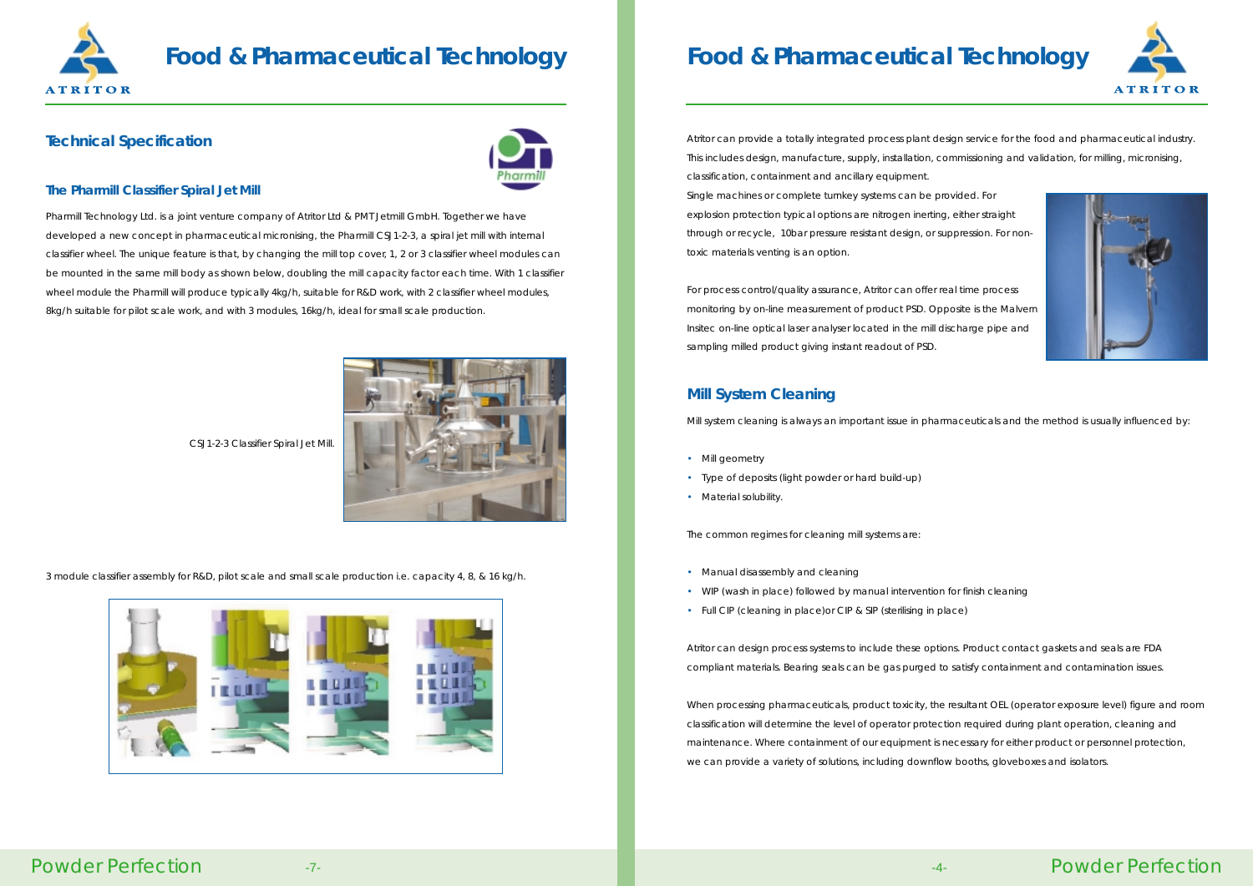### **Technical Specification**



#### **The Pharmill Classifier Spiral Jet Mill**

Pharmill Technology Ltd. is a joint venture company of Atritor Ltd & PMT Jetmill GmbH. Together we have developed a new concept in pharmaceutical micronising, the Pharmill CSJ1-2-3, a spiral jet mill with internal classifier wheel. The unique feature is that, by changing the mill top cover, 1, 2 or 3 classifier wheel modules can be mounted in the same mill body as shown below, doubling the mill capacity factor each time. With 1 classifier wheel module the Pharmill will produce typically 4kg/h, suitable for R&D work, with 2 classifier wheel modules, 8kg/h suitable for pilot scale work, and with 3 modules, 16kg/h, ideal for small scale production.

- Mill geometry
- Type of deposits (light powder or hard build-up)
- Material solubility.

CSJ1-2-3 Classifier Spiral Jet Mill.

3 module classifier assembly for R&D, pilot scale and small scale production i.e. capacity 4, 8, & 16 kg/h.



### **Food & Pharmaceutical Technology**

### Powder Perfection

### **Mill System Cleaning**

Mill system cleaning is always an important issue in pharmaceuticals and the method is usually influenced by:

The common regimes for cleaning mill systems are:

- Manual disassembly and cleaning
- WIP (wash in place) followed by manual intervention for finish cleaning
- Full CIP (cleaning in place)or CIP & SIP (sterilising in place)

Atritor can design process systems to include these options. Product contact gaskets and seals are FDA compliant materials. Bearing seals can be gas purged to satisfy containment and contamination issues.

When processing pharmaceuticals, product toxicity, the resultant OEL (operator exposure level) figure and room classification will determine the level of operator protection required during plant operation, cleaning and maintenance. Where containment of our equipment is necessary for either product or personnel protection, we can provide a variety of solutions, including downflow booths, gloveboxes and isolators.



# **Food & Pharmaceutical Technology**

Atritor can provide a totally integrated process plant design service for the food and pharmaceutical industry. This includes design, manufacture, supply, installation, commissioning and validation, for milling, micronising, classification, containment and ancillary equipment. Single machines or complete turnkey systems can be provided. For explosion protection typical options are nitrogen inerting, either straight through or recycle, 10bar pressure resistant design, or suppression. For nontoxic materials venting is an option.

For process control/quality assurance, Atritor can offer real time process monitoring by on-line measurement of product PSD. Opposite is the Malvern Insitec on-line optical laser analyser located in the mill discharge pipe and sampling milled product giving instant readout of PSD.





- 
-